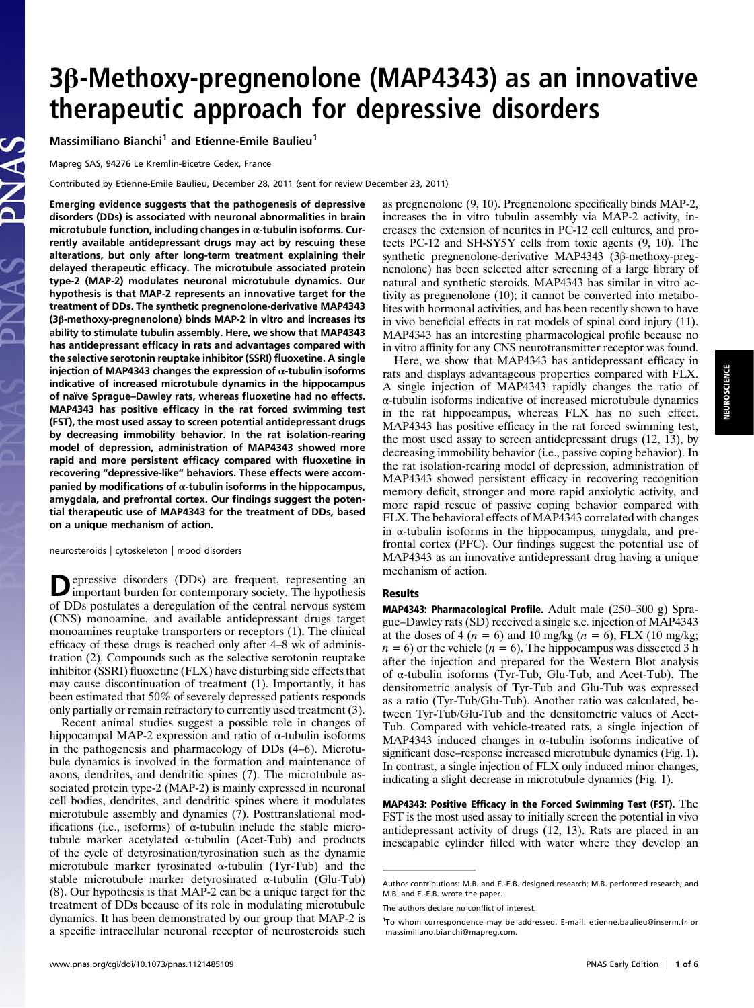# 3β-Methoxy-pregnenolone (MAP4343) as an innovative therapeutic approach for depressive disorders

Massimiliano Bianchi<sup>1</sup> and Etienne-Emile Baulieu<sup>1</sup>

Mapreg SAS, 94276 Le Kremlin-Bicetre Cedex, France

Contributed by Etienne-Emile Baulieu, December 28, 2011 (sent for review December 23, 2011)

Emerging evidence suggests that the pathogenesis of depressive disorders (DDs) is associated with neuronal abnormalities in brain microtubule function, including changes in  $\alpha$ -tubulin isoforms. Currently available antidepressant drugs may act by rescuing these alterations, but only after long-term treatment explaining their delayed therapeutic efficacy. The microtubule associated protein type-2 (MAP-2) modulates neuronal microtubule dynamics. Our hypothesis is that MAP-2 represents an innovative target for the treatment of DDs. The synthetic pregnenolone-derivative MAP4343 (3β-methoxy-pregnenolone) binds MAP-2 in vitro and increases its ability to stimulate tubulin assembly. Here, we show that MAP4343 has antidepressant efficacy in rats and advantages compared with the selective serotonin reuptake inhibitor (SSRI) fluoxetine. A single injection of MAP4343 changes the expression of  $\alpha$ -tubulin isoforms indicative of increased microtubule dynamics in the hippocampus of naïve Sprague–Dawley rats, whereas fluoxetine had no effects. MAP4343 has positive efficacy in the rat forced swimming test (FST), the most used assay to screen potential antidepressant drugs by decreasing immobility behavior. In the rat isolation-rearing model of depression, administration of MAP4343 showed more rapid and more persistent efficacy compared with fluoxetine in recovering "depressive-like" behaviors. These effects were accompanied by modifications of  $\alpha$ -tubulin isoforms in the hippocampus, amygdala, and prefrontal cortex. Our findings suggest the potential therapeutic use of MAP4343 for the treatment of DDs, based on a unique mechanism of action.

neurosteroids | cytoskeleton | mood disorders

**D**epressive disorders (DDs) are frequent, representing an important burden for contemporary society. The hypothesis of DDs postulates a deregulation of the central nervous system (CNS) monoamine, and available antidepressant drugs target monoamines reuptake transporters or receptors (1). The clinical efficacy of these drugs is reached only after 4–8 wk of administration (2). Compounds such as the selective serotonin reuptake inhibitor (SSRI) fluoxetine (FLX) have disturbing side effects that may cause discontinuation of treatment (1). Importantly, it has been estimated that 50% of severely depressed patients responds only partially or remain refractory to currently used treatment (3).

Recent animal studies suggest a possible role in changes of hippocampal MAP-2 expression and ratio of  $\alpha$ -tubulin isoforms in the pathogenesis and pharmacology of DDs (4–6). Microtubule dynamics is involved in the formation and maintenance of axons, dendrites, and dendritic spines (7). The microtubule associated protein type-2 (MAP-2) is mainly expressed in neuronal cell bodies, dendrites, and dendritic spines where it modulates microtubule assembly and dynamics (7). Posttranslational modifications (i.e., isoforms) of α-tubulin include the stable microtubule marker acetylated α-tubulin (Acet-Tub) and products of the cycle of detyrosination/tyrosination such as the dynamic microtubule marker tyrosinated  $\alpha$ -tubulin (Tyr-Tub) and the stable microtubule marker detyrosinated α-tubulin (Glu-Tub) (8). Our hypothesis is that MAP-2 can be a unique target for the treatment of DDs because of its role in modulating microtubule dynamics. It has been demonstrated by our group that MAP-2 is a specific intracellular neuronal receptor of neurosteroids such as pregnenolone (9, 10). Pregnenolone specifically binds MAP-2, increases the in vitro tubulin assembly via MAP-2 activity, increases the extension of neurites in PC-12 cell cultures, and protects PC-12 and SH-SY5Y cells from toxic agents (9, 10). The synthetic pregnenolone-derivative MAP4343 (3β-methoxy-pregnenolone) has been selected after screening of a large library of natural and synthetic steroids. MAP4343 has similar in vitro activity as pregnenolone (10); it cannot be converted into metabolites with hormonal activities, and has been recently shown to have in vivo beneficial effects in rat models of spinal cord injury (11). MAP4343 has an interesting pharmacological profile because no in vitro affinity for any CNS neurotransmitter receptor was found.

Here, we show that MAP4343 has antidepressant efficacy in rats and displays advantageous properties compared with FLX. A single injection of MAP4343 rapidly changes the ratio of α-tubulin isoforms indicative of increased microtubule dynamics in the rat hippocampus, whereas FLX has no such effect. MAP4343 has positive efficacy in the rat forced swimming test, the most used assay to screen antidepressant drugs (12, 13), by decreasing immobility behavior (i.e., passive coping behavior). In the rat isolation-rearing model of depression, administration of MAP4343 showed persistent efficacy in recovering recognition memory deficit, stronger and more rapid anxiolytic activity, and more rapid rescue of passive coping behavior compared with FLX. The behavioral effects of MAP4343 correlated with changes in α-tubulin isoforms in the hippocampus, amygdala, and prefrontal cortex (PFC). Our findings suggest the potential use of MAP4343 as an innovative antidepressant drug having a unique mechanism of action.

### Results

MAP4343: Pharmacological Profile. Adult male (250–300 g) Sprague–Dawley rats (SD) received a single s.c. injection of MAP4343 at the doses of 4 ( $n = 6$ ) and 10 mg/kg ( $n = 6$ ), FLX (10 mg/kg;  $n = 6$ ) or the vehicle ( $n = 6$ ). The hippocampus was dissected 3 h after the injection and prepared for the Western Blot analysis of α-tubulin isoforms (Tyr-Tub, Glu-Tub, and Acet-Tub). The densitometric analysis of Tyr-Tub and Glu-Tub was expressed as a ratio (Tyr-Tub/Glu-Tub). Another ratio was calculated, between Tyr-Tub/Glu-Tub and the densitometric values of Acet-Tub. Compared with vehicle-treated rats, a single injection of MAP4343 induced changes in  $\alpha$ -tubulin isoforms indicative of significant dose–response increased microtubule dynamics (Fig. 1). In contrast, a single injection of FLX only induced minor changes, indicating a slight decrease in microtubule dynamics (Fig. 1).

MAP4343: Positive Efficacy in the Forced Swimming Test (FST). The FST is the most used assay to initially screen the potential in vivo antidepressant activity of drugs (12, 13). Rats are placed in an inescapable cylinder filled with water where they develop an

Author contributions: M.B. and E.-E.B. designed research; M.B. performed research; and M.B. and E.-E.B. wrote the paper.

The authors declare no conflict of interest.

<sup>&</sup>lt;sup>1</sup>To whom correspondence may be addressed. E-mail: [etienne.baulieu@inserm.fr](mailto:etienne.baulieu@inserm.fr) or [massimiliano.bianchi@mapreg.com.](mailto:massimiliano.bianchi@mapreg.com)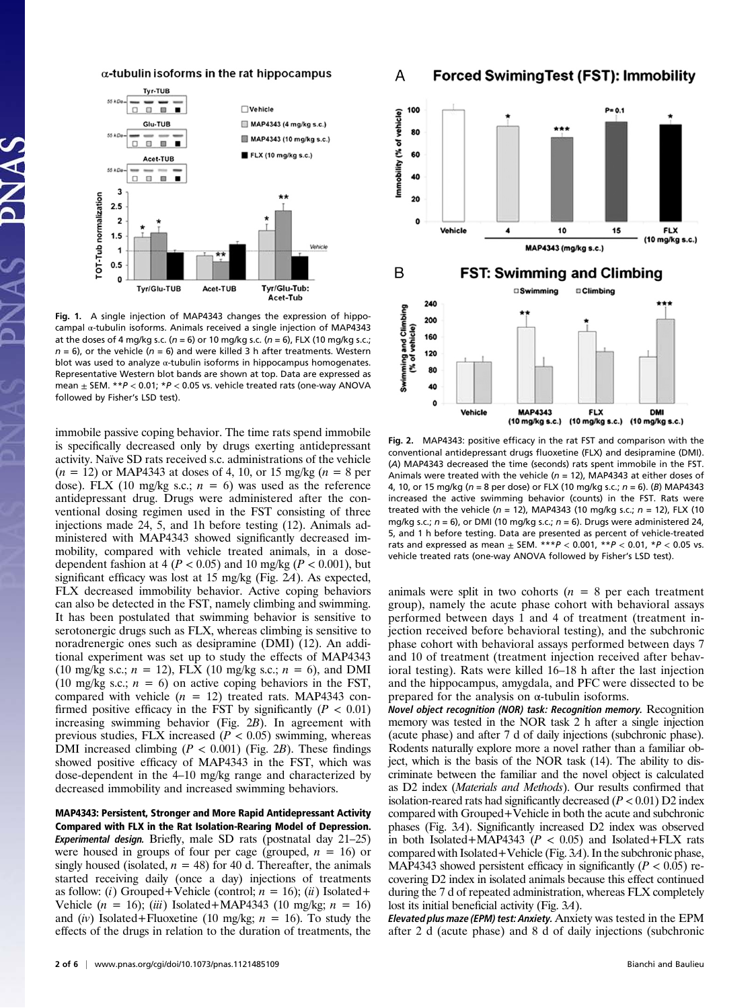$\alpha$ -tubulin isoforms in the rat hippocampus



Fig. 1. A single injection of MAP4343 changes the expression of hippocampal α-tubulin isoforms. Animals received a single injection of MAP4343 at the doses of 4 mg/kg s.c. ( $n = 6$ ) or 10 mg/kg s.c. ( $n = 6$ ), FLX (10 mg/kg s.c.;  $n = 6$ ), or the vehicle ( $n = 6$ ) and were killed 3 h after treatments. Western blot was used to analyze α-tubulin isoforms in hippocampus homogenates. Representative Western blot bands are shown at top. Data are expressed as mean  $\pm$  SEM. \*\* $P < 0.01$ ; \* $P < 0.05$  vs. vehicle treated rats (one-way ANOVA followed by Fisher's LSD test).

immobile passive coping behavior. The time rats spend immobile is specifically decreased only by drugs exerting antidepressant activity. Naïve SD rats received s.c. administrations of the vehicle  $(n = 12)$  or MAP4343 at doses of 4, 10, or 15 mg/kg  $(n = 8$  per dose). FLX (10 mg/kg s.c.;  $n = 6$ ) was used as the reference antidepressant drug. Drugs were administered after the conventional dosing regimen used in the FST consisting of three injections made 24, 5, and 1h before testing (12). Animals administered with MAP4343 showed significantly decreased immobility, compared with vehicle treated animals, in a dosedependent fashion at  $4 (P < 0.05)$  and 10 mg/kg ( $P < 0.001$ ), but significant efficacy was lost at 15 mg/kg (Fig. 2A). As expected, FLX decreased immobility behavior. Active coping behaviors can also be detected in the FST, namely climbing and swimming. It has been postulated that swimming behavior is sensitive to serotonergic drugs such as FLX, whereas climbing is sensitive to noradrenergic ones such as desipramine (DMI) (12). An additional experiment was set up to study the effects of MAP4343 (10 mg/kg s.c.;  $n = 12$ ), FLX (10 mg/kg s.c.;  $n = 6$ ), and DMI (10 mg/kg s.c.;  $n = 6$ ) on active coping behaviors in the FST, compared with vehicle  $(n = 12)$  treated rats. MAP4343 confirmed positive efficacy in the FST by significantly ( $P < 0.01$ ) increasing swimming behavior (Fig. 2B). In agreement with previous studies, FLX increased  $(P < 0.05)$  swimming, whereas DMI increased climbing ( $P < 0.001$ ) (Fig. 2B). These findings showed positive efficacy of MAP4343 in the FST, which was dose-dependent in the 4–10 mg/kg range and characterized by decreased immobility and increased swimming behaviors.

MAP4343: Persistent, Stronger and More Rapid Antidepressant Activity Compared with FLX in the Rat Isolation-Rearing Model of Depression. Experimental design. Briefly, male SD rats (postnatal day 21–25) were housed in groups of four per cage (grouped,  $n = 16$ ) or singly housed (isolated,  $n = 48$ ) for 40 d. Thereafter, the animals started receiving daily (once a day) injections of treatments as follow: (i) Grouped+Vehicle (control;  $n = 16$ ); (ii) Isolated+ Vehicle  $(n = 16)$ ;  $(iii)$  Isolated+MAP4343 (10 mg/kg;  $n = 16$ ) and (iv) Isolated+Fluoxetine (10 mg/kg;  $n = 16$ ). To study the effects of the drugs in relation to the duration of treatments, the

#### A **Forced SwimingTest (FST): Immobility**



Fig. 2. MAP4343: positive efficacy in the rat FST and comparison with the conventional antidepressant drugs fluoxetine (FLX) and desipramine (DMI). (A) MAP4343 decreased the time (seconds) rats spent immobile in the FST. Animals were treated with the vehicle ( $n = 12$ ), MAP4343 at either doses of 4, 10, or 15 mg/kg ( $n = 8$  per dose) or FLX (10 mg/kg s.c.;  $n = 6$ ). (B) MAP4343 increased the active swimming behavior (counts) in the FST. Rats were treated with the vehicle ( $n = 12$ ), MAP4343 (10 mg/kg s.c.;  $n = 12$ ), FLX (10 mg/kg s.c.;  $n = 6$ ), or DMI (10 mg/kg s.c.;  $n = 6$ ). Drugs were administered 24, 5, and 1 h before testing. Data are presented as percent of vehicle-treated rats and expressed as mean  $\pm$  SEM. \*\*\* $P < 0.001$ , \*\* $P < 0.01$ , \* $P < 0.05$  vs. vehicle treated rats (one-way ANOVA followed by Fisher's LSD test).

animals were split in two cohorts  $(n = 8$  per each treatment group), namely the acute phase cohort with behavioral assays performed between days 1 and 4 of treatment (treatment injection received before behavioral testing), and the subchronic phase cohort with behavioral assays performed between days 7 and 10 of treatment (treatment injection received after behavioral testing). Rats were killed 16–18 h after the last injection and the hippocampus, amygdala, and PFC were dissected to be prepared for the analysis on α-tubulin isoforms.

Novel object recognition (NOR) task: Recognition memory. Recognition memory was tested in the NOR task 2 h after a single injection (acute phase) and after 7 d of daily injections (subchronic phase). Rodents naturally explore more a novel rather than a familiar object, which is the basis of the NOR task (14). The ability to discriminate between the familiar and the novel object is calculated as D2 index (Materials and Methods). Our results confirmed that isolation-reared rats had significantly decreased ( $P < 0.01$ ) D2 index compared with Grouped+Vehicle in both the acute and subchronic phases (Fig. 3A). Significantly increased D2 index was observed in both Isolated+MAP4343 ( $P < 0.05$ ) and Isolated+FLX rats compared with Isolated+Vehicle (Fig. 3A). In the subchronic phase, MAP4343 showed persistent efficacy in significantly ( $P < 0.05$ ) recovering D2 index in isolated animals because this effect continued during the 7 d of repeated administration, whereas FLX completely lost its initial beneficial activity (Fig. 3A).

Elevated plus maze (EPM) test: Anxiety. Anxiety was tested in the EPM after 2 d (acute phase) and 8 d of daily injections (subchronic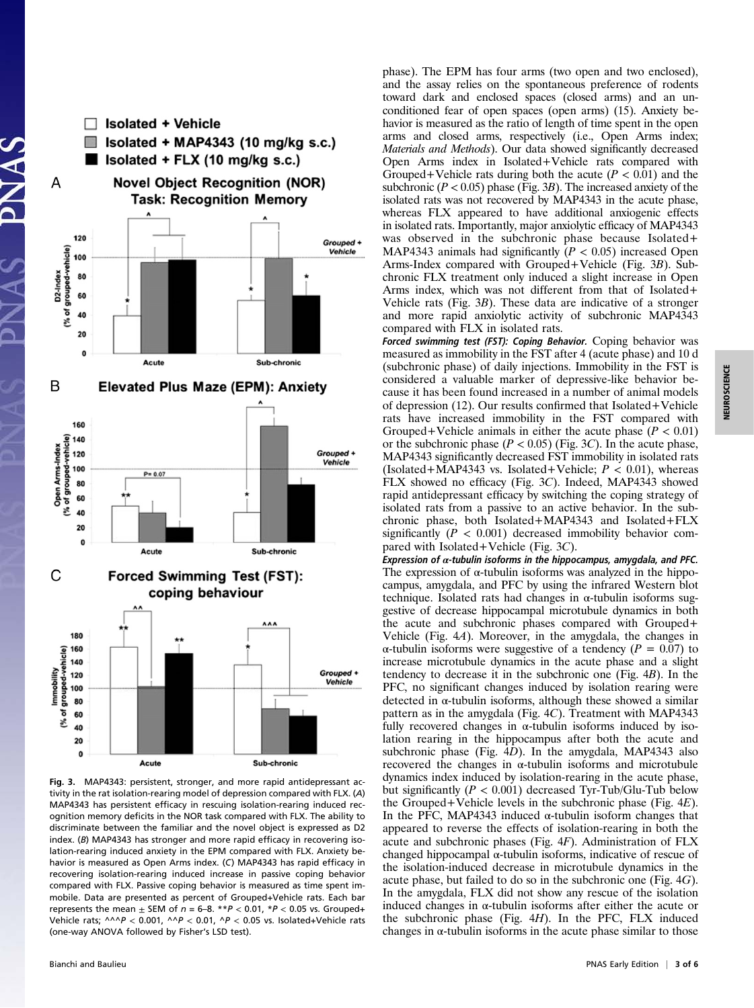

Fig. 3. MAP4343: persistent, stronger, and more rapid antidepressant activity in the rat isolation-rearing model of depression compared with FLX. (A) MAP4343 has persistent efficacy in rescuing isolation-rearing induced recognition memory deficits in the NOR task compared with FLX. The ability to discriminate between the familiar and the novel object is expressed as D2 index. (B) MAP4343 has stronger and more rapid efficacy in recovering isolation-rearing induced anxiety in the EPM compared with FLX. Anxiety behavior is measured as Open Arms index. (C) MAP4343 has rapid efficacy in recovering isolation-rearing induced increase in passive coping behavior compared with FLX. Passive coping behavior is measured as time spent immobile. Data are presented as percent of Grouped+Vehicle rats. Each bar represents the mean  $\pm$  SEM of  $n = 6-8$ . \*\* $P < 0.01$ , \* $P < 0.05$  vs. Grouped+ Vehicle rats;  $\wedge \wedge \wedge P$  < 0.001,  $\wedge \wedge P$  < 0.01,  $\wedge P$  < 0.05 vs. Isolated+Vehicle rats (one-way ANOVA followed by Fisher's LSD test).

phase). The EPM has four arms (two open and two enclosed), and the assay relies on the spontaneous preference of rodents toward dark and enclosed spaces (closed arms) and an unconditioned fear of open spaces (open arms) (15). Anxiety behavior is measured as the ratio of length of time spent in the open arms and closed arms, respectively (i.e., Open Arms index; Materials and Methods). Our data showed significantly decreased Open Arms index in Isolated+Vehicle rats compared with Grouped+Vehicle rats during both the acute ( $P < 0.01$ ) and the subchronic ( $P < 0.05$ ) phase (Fig. 3B). The increased anxiety of the isolated rats was not recovered by MAP4343 in the acute phase, whereas FLX appeared to have additional anxiogenic effects in isolated rats. Importantly, major anxiolytic efficacy of MAP4343 was observed in the subchronic phase because Isolated+ MAP4343 animals had significantly ( $P < 0.05$ ) increased Open Arms-Index compared with Grouped+Vehicle (Fig. 3B). Subchronic FLX treatment only induced a slight increase in Open Arms index, which was not different from that of Isolated+ Vehicle rats (Fig. 3B). These data are indicative of a stronger and more rapid anxiolytic activity of subchronic MAP4343 compared with FLX in isolated rats.

Forced swimming test (FST): Coping Behavior. Coping behavior was measured as immobility in the FST after 4 (acute phase) and 10 d (subchronic phase) of daily injections. Immobility in the FST is considered a valuable marker of depressive-like behavior because it has been found increased in a number of animal models of depression (12). Our results confirmed that Isolated+Vehicle rats have increased immobility in the FST compared with Grouped+Vehicle animals in either the acute phase  $(P < 0.01)$ or the subchronic phase ( $P < 0.05$ ) (Fig. 3C). In the acute phase, MAP4343 significantly decreased FST immobility in isolated rats (Isolated+MAP4343 vs. Isolated+Vehicle;  $P < 0.01$ ), whereas FLX showed no efficacy (Fig. 3C). Indeed, MAP4343 showed rapid antidepressant efficacy by switching the coping strategy of isolated rats from a passive to an active behavior. In the subchronic phase, both Isolated+MAP4343 and Isolated+FLX significantly ( $P < 0.001$ ) decreased immobility behavior compared with Isolated+Vehicle (Fig. 3C).

Expression of  $\alpha$ -tubulin isoforms in the hippocampus, amygdala, and PFC. The expression of  $\alpha$ -tubulin isoforms was analyzed in the hippocampus, amygdala, and PFC by using the infrared Western blot technique. Isolated rats had changes in  $\alpha$ -tubulin isoforms suggestive of decrease hippocampal microtubule dynamics in both the acute and subchronic phases compared with Grouped+ Vehicle (Fig. 4A). Moreover, in the amygdala, the changes in α-tubulin isoforms were suggestive of a tendency (P = 0.07) to increase microtubule dynamics in the acute phase and a slight tendency to decrease it in the subchronic one (Fig. 4B). In the PFC, no significant changes induced by isolation rearing were detected in  $\alpha$ -tubulin isoforms, although these showed a similar pattern as in the amygdala (Fig. 4C). Treatment with MAP4343 fully recovered changes in  $\alpha$ -tubulin isoforms induced by isolation rearing in the hippocampus after both the acute and subchronic phase (Fig. 4D). In the amygdala, MAP4343 also recovered the changes in α-tubulin isoforms and microtubule dynamics index induced by isolation-rearing in the acute phase, but significantly  $(P < 0.001)$  decreased Tyr-Tub/Glu-Tub below the Grouped+Vehicle levels in the subchronic phase (Fig. 4E). In the PFC, MAP4343 induced  $\alpha$ -tubulin isoform changes that appeared to reverse the effects of isolation-rearing in both the acute and subchronic phases (Fig. 4F). Administration of FLX changed hippocampal α-tubulin isoforms, indicative of rescue of the isolation-induced decrease in microtubule dynamics in the acute phase, but failed to do so in the subchronic one (Fig. 4G). In the amygdala, FLX did not show any rescue of the isolation induced changes in  $\alpha$ -tubulin isoforms after either the acute or the subchronic phase (Fig.  $4H$ ). In the PFC, FLX induced changes in  $\alpha$ -tubulin isoforms in the acute phase similar to those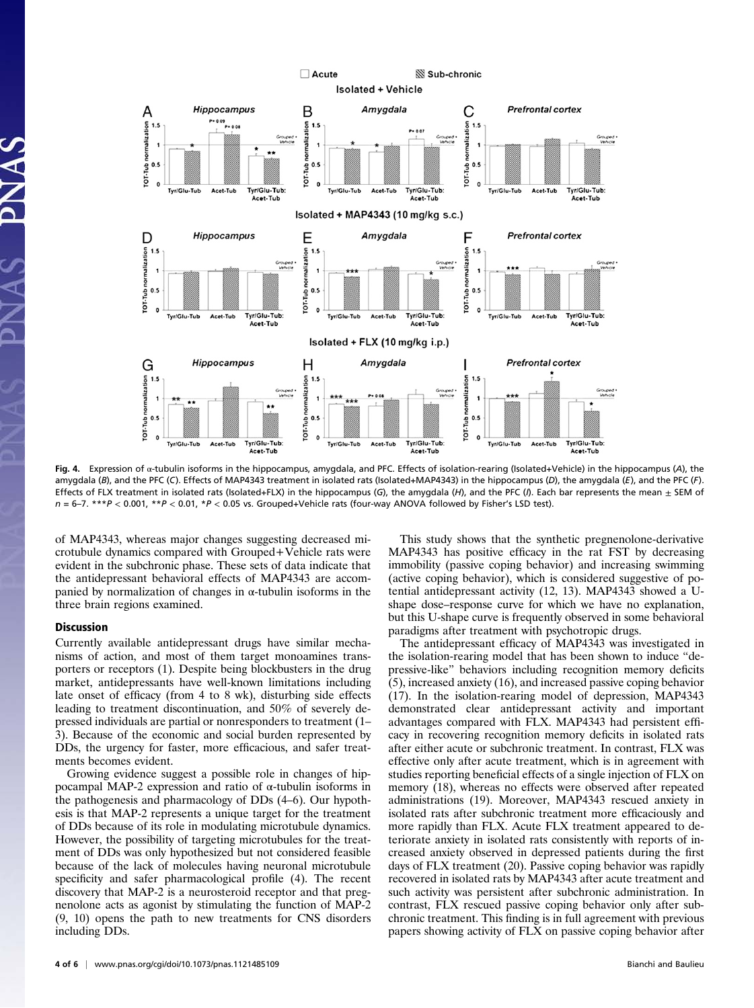

Fig. 4. Expression of α-tubulin isoforms in the hippocampus, amygdala, and PFC. Effects of isolation-rearing (Isolated+Vehicle) in the hippocampus (A), the amygdala (B), and the PFC (C). Effects of MAP4343 treatment in isolated rats (Isolated+MAP4343) in the hippocampus (D), the amygdala (E), and the PFC (F). Effects of FLX treatment in isolated rats (Isolated+FLX) in the hippocampus (G), the amygdala (H), and the PFC (/). Each bar represents the mean  $\pm$  SEM of  $n = 6-7$ . \*\*\* $P < 0.001$ , \*\* $P < 0.01$ , \* $P < 0.05$  vs. Grouped+Vehicle rats (four-way ANOVA followed by Fisher's LSD test).

of MAP4343, whereas major changes suggesting decreased microtubule dynamics compared with Grouped+Vehicle rats were evident in the subchronic phase. These sets of data indicate that the antidepressant behavioral effects of MAP4343 are accompanied by normalization of changes in α-tubulin isoforms in the three brain regions examined.

## Discussion

Currently available antidepressant drugs have similar mechanisms of action, and most of them target monoamines transporters or receptors (1). Despite being blockbusters in the drug market, antidepressants have well-known limitations including late onset of efficacy (from 4 to 8 wk), disturbing side effects leading to treatment discontinuation, and 50% of severely depressed individuals are partial or nonresponders to treatment (1– 3). Because of the economic and social burden represented by DDs, the urgency for faster, more efficacious, and safer treatments becomes evident.

Growing evidence suggest a possible role in changes of hippocampal MAP-2 expression and ratio of α-tubulin isoforms in the pathogenesis and pharmacology of DDs (4–6). Our hypothesis is that MAP-2 represents a unique target for the treatment of DDs because of its role in modulating microtubule dynamics. However, the possibility of targeting microtubules for the treatment of DDs was only hypothesized but not considered feasible because of the lack of molecules having neuronal microtubule specificity and safer pharmacological profile (4). The recent discovery that MAP-2 is a neurosteroid receptor and that pregnenolone acts as agonist by stimulating the function of MAP-2 (9, 10) opens the path to new treatments for CNS disorders including DDs.

4 of 6 <sup>|</sup> <www.pnas.org/cgi/doi/10.1073/pnas.1121485109> Bianchi and Baulieu

This study shows that the synthetic pregnenolone-derivative MAP4343 has positive efficacy in the rat FST by decreasing immobility (passive coping behavior) and increasing swimming (active coping behavior), which is considered suggestive of potential antidepressant activity (12, 13). MAP4343 showed a Ushape dose–response curve for which we have no explanation, but this U-shape curve is frequently observed in some behavioral paradigms after treatment with psychotropic drugs.

The antidepressant efficacy of MAP4343 was investigated in the isolation-rearing model that has been shown to induce "depressive-like" behaviors including recognition memory deficits (5), increased anxiety (16), and increased passive coping behavior (17). In the isolation-rearing model of depression, MAP4343 demonstrated clear antidepressant activity and important advantages compared with FLX. MAP4343 had persistent efficacy in recovering recognition memory deficits in isolated rats after either acute or subchronic treatment. In contrast, FLX was effective only after acute treatment, which is in agreement with studies reporting beneficial effects of a single injection of FLX on memory (18), whereas no effects were observed after repeated administrations (19). Moreover, MAP4343 rescued anxiety in isolated rats after subchronic treatment more efficaciously and more rapidly than FLX. Acute FLX treatment appeared to deteriorate anxiety in isolated rats consistently with reports of increased anxiety observed in depressed patients during the first days of FLX treatment (20). Passive coping behavior was rapidly recovered in isolated rats by MAP4343 after acute treatment and such activity was persistent after subchronic administration. In contrast, FLX rescued passive coping behavior only after subchronic treatment. This finding is in full agreement with previous papers showing activity of FLX on passive coping behavior after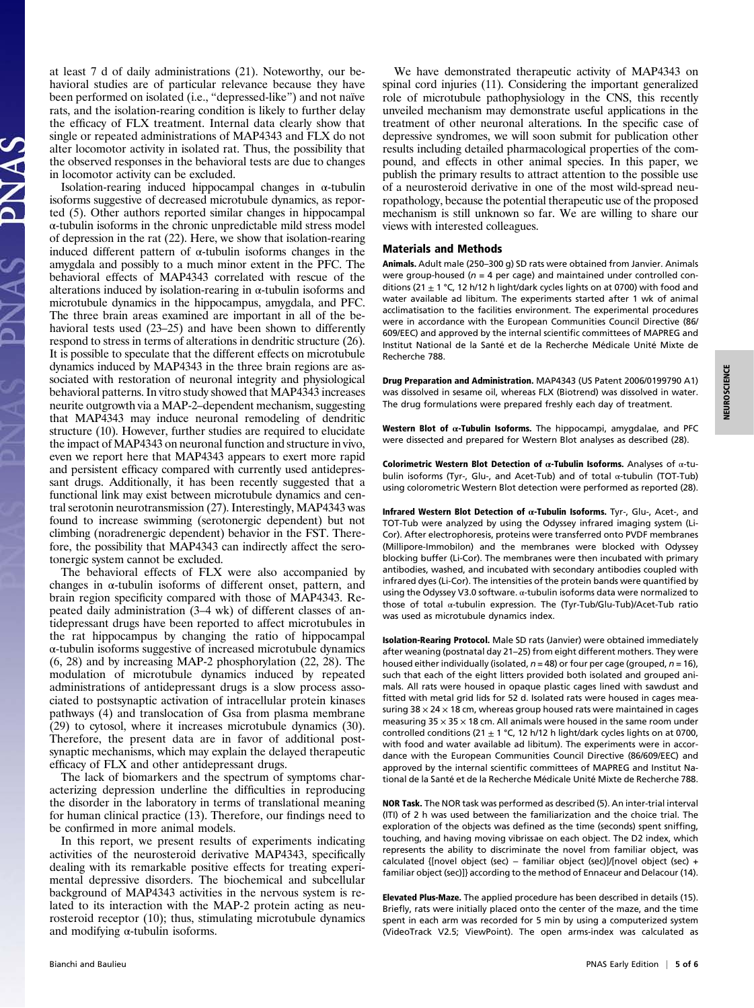at least 7 d of daily administrations (21). Noteworthy, our behavioral studies are of particular relevance because they have been performed on isolated (i.e., "depressed-like") and not naïve rats, and the isolation-rearing condition is likely to further delay the efficacy of FLX treatment. Internal data clearly show that single or repeated administrations of MAP4343 and FLX do not alter locomotor activity in isolated rat. Thus, the possibility that the observed responses in the behavioral tests are due to changes in locomotor activity can be excluded.

Isolation-rearing induced hippocampal changes in  $\alpha$ -tubulin isoforms suggestive of decreased microtubule dynamics, as reported (5). Other authors reported similar changes in hippocampal α-tubulin isoforms in the chronic unpredictable mild stress model of depression in the rat (22). Here, we show that isolation-rearing induced different pattern of α-tubulin isoforms changes in the amygdala and possibly to a much minor extent in the PFC. The behavioral effects of MAP4343 correlated with rescue of the alterations induced by isolation-rearing in  $\alpha$ -tubulin isoforms and microtubule dynamics in the hippocampus, amygdala, and PFC. The three brain areas examined are important in all of the behavioral tests used (23–25) and have been shown to differently respond to stress in terms of alterations in dendritic structure (26). It is possible to speculate that the different effects on microtubule dynamics induced by MAP4343 in the three brain regions are associated with restoration of neuronal integrity and physiological behavioral patterns. In vitro study showed that MAP4343 increases neurite outgrowth via a MAP-2–dependent mechanism, suggesting that MAP4343 may induce neuronal remodeling of dendritic structure (10). However, further studies are required to elucidate the impact of MAP4343 on neuronal function and structure in vivo, even we report here that MAP4343 appears to exert more rapid and persistent efficacy compared with currently used antidepressant drugs. Additionally, it has been recently suggested that a functional link may exist between microtubule dynamics and central serotonin neurotransmission (27). Interestingly, MAP4343 was found to increase swimming (serotonergic dependent) but not climbing (noradrenergic dependent) behavior in the FST. Therefore, the possibility that MAP4343 can indirectly affect the serotonergic system cannot be excluded.

The behavioral effects of FLX were also accompanied by changes in α-tubulin isoforms of different onset, pattern, and brain region specificity compared with those of MAP4343. Repeated daily administration (3–4 wk) of different classes of antidepressant drugs have been reported to affect microtubules in the rat hippocampus by changing the ratio of hippocampal α-tubulin isoforms suggestive of increased microtubule dynamics (6, 28) and by increasing MAP-2 phosphorylation (22, 28). The modulation of microtubule dynamics induced by repeated administrations of antidepressant drugs is a slow process associated to postsynaptic activation of intracellular protein kinases pathways (4) and translocation of Gsa from plasma membrane (29) to cytosol, where it increases microtubule dynamics (30). Therefore, the present data are in favor of additional postsynaptic mechanisms, which may explain the delayed therapeutic efficacy of FLX and other antidepressant drugs.

The lack of biomarkers and the spectrum of symptoms characterizing depression underline the difficulties in reproducing the disorder in the laboratory in terms of translational meaning for human clinical practice (13). Therefore, our findings need to be confirmed in more animal models.

In this report, we present results of experiments indicating activities of the neurosteroid derivative MAP4343, specifically dealing with its remarkable positive effects for treating experimental depressive disorders. The biochemical and subcellular background of MAP4343 activities in the nervous system is related to its interaction with the MAP-2 protein acting as neurosteroid receptor (10); thus, stimulating microtubule dynamics and modifying α-tubulin isoforms.

We have demonstrated therapeutic activity of MAP4343 on spinal cord injuries (11). Considering the important generalized role of microtubule pathophysiology in the CNS, this recently unveiled mechanism may demonstrate useful applications in the treatment of other neuronal alterations. In the specific case of depressive syndromes, we will soon submit for publication other results including detailed pharmacological properties of the compound, and effects in other animal species. In this paper, we publish the primary results to attract attention to the possible use of a neurosteroid derivative in one of the most wild-spread neuropathology, because the potential therapeutic use of the proposed mechanism is still unknown so far. We are willing to share our views with interested colleagues.

## Materials and Methods

Animals. Adult male (250–300 g) SD rats were obtained from Janvier. Animals were group-housed ( $n = 4$  per cage) and maintained under controlled conditions (21  $\pm$  1 °C, 12 h/12 h light/dark cycles lights on at 0700) with food and water available ad libitum. The experiments started after 1 wk of animal acclimatisation to the facilities environment. The experimental procedures were in accordance with the European Communities Council Directive (86/ 609/EEC) and approved by the internal scientific committees of MAPREG and Institut National de la Santé et de la Recherche Médicale Unité Mixte de Recherche 788.

Drug Preparation and Administration. MAP4343 (US Patent 2006/0199790 A1) was dissolved in sesame oil, whereas FLX (Biotrend) was dissolved in water. The drug formulations were prepared freshly each day of treatment.

Western Blot of  $\alpha$ -Tubulin Isoforms. The hippocampi, amygdalae, and PFC were dissected and prepared for Western Blot analyses as described (28).

Colorimetric Western Blot Detection of  $α$ -Tubulin Isoforms. Analyses of  $α$ -tubulin isoforms (Tyr-, Glu-, and Acet-Tub) and of total α-tubulin (TOT-Tub) using colorometric Western Blot detection were performed as reported (28).

Infrared Western Blot Detection of  $\alpha$ -Tubulin Isoforms. Tyr-, Glu-, Acet-, and TOT-Tub were analyzed by using the Odyssey infrared imaging system (Li-Cor). After electrophoresis, proteins were transferred onto PVDF membranes (Millipore-Immobilon) and the membranes were blocked with Odyssey blocking buffer (Li-Cor). The membranes were then incubated with primary antibodies, washed, and incubated with secondary antibodies coupled with infrared dyes (Li-Cor). The intensities of the protein bands were quantified by using the Odyssey V3.0 software.  $\alpha$ -tubulin isoforms data were normalized to those of total α-tubulin expression. The (Tyr-Tub/Glu-Tub)/Acet-Tub ratio was used as microtubule dynamics index.

Isolation-Rearing Protocol. Male SD rats (Janvier) were obtained immediately after weaning (postnatal day 21–25) from eight different mothers. They were housed either individually (isolated,  $n = 48$ ) or four per cage (grouped,  $n = 16$ ), such that each of the eight litters provided both isolated and grouped animals. All rats were housed in opaque plastic cages lined with sawdust and fitted with metal grid lids for 52 d. Isolated rats were housed in cages measuring  $38 \times 24 \times 18$  cm, whereas group housed rats were maintained in cages measuring  $35 \times 35 \times 18$  cm. All animals were housed in the same room under controlled conditions (21  $\pm$  1 °C, 12 h/12 h light/dark cycles lights on at 0700, with food and water available ad libitum). The experiments were in accordance with the European Communities Council Directive (86/609/EEC) and approved by the internal scientific committees of MAPREG and Institut National de la Santé et de la Recherche Médicale Unité Mixte de Recherche 788.

NOR Task. The NOR task was performed as described (5). An inter-trial interval (ITI) of 2 h was used between the familiarization and the choice trial. The exploration of the objects was defined as the time (seconds) spent sniffing, touching, and having moving vibrissae on each object. The D2 index, which represents the ability to discriminate the novel from familiar object, was calculated {[novel object (sec) − familiar object (sec)]/[novel object (sec) + familiar object (sec)]} according to the method of Ennaceur and Delacour (14).

Elevated Plus-Maze. The applied procedure has been described in details (15). Briefly, rats were initially placed onto the center of the maze, and the time spent in each arm was recorded for 5 min by using a computerized system (VideoTrack V2.5; ViewPoint). The open arms-index was calculated as